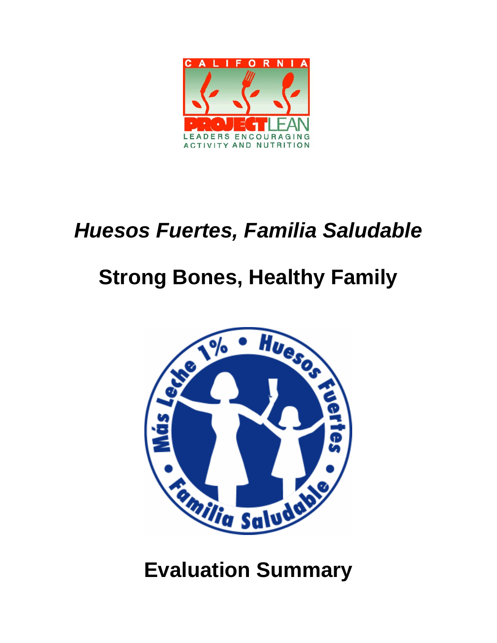

## *Huesos Fuertes, Familia Saludable*

# **Strong Bones, Healthy Family**



**Evaluation Summary**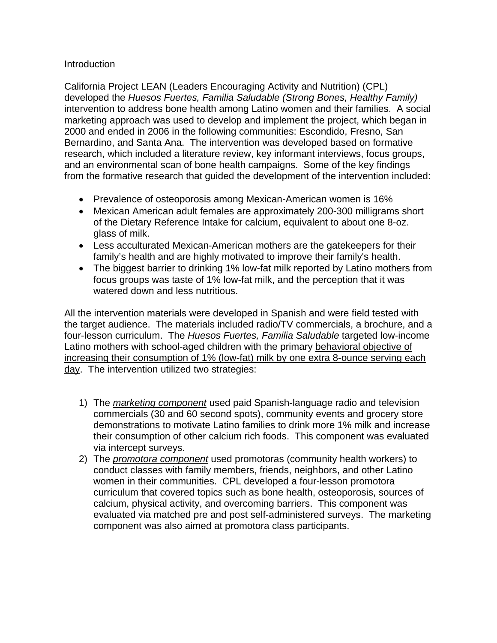## **Introduction**

California Project LEAN (Leaders Encouraging Activity and Nutrition) (CPL) developed the *Huesos Fuertes, Familia Saludable (Strong Bones, Healthy Family)* intervention to address bone health among Latino women and their families. A social marketing approach was used to develop and implement the project, which began in 2000 and ended in 2006 in the following communities: Escondido, Fresno, San Bernardino, and Santa Ana. The intervention was developed based on formative research, which included a literature review, key informant interviews, focus groups, and an environmental scan of bone health campaigns. Some of the key findings from the formative research that guided the development of the intervention included:

- Prevalence of osteoporosis among Mexican-American women is 16%
- Mexican American adult females are approximately 200-300 milligrams short of the Dietary Reference Intake for calcium, equivalent to about one 8-oz. glass of milk.
- Less acculturated Mexican-American mothers are the gatekeepers for their family's health and are highly motivated to improve their family's health.
- The biggest barrier to drinking 1% low-fat milk reported by Latino mothers from focus groups was taste of 1% low-fat milk, and the perception that it was watered down and less nutritious.

All the intervention materials were developed in Spanish and were field tested with the target audience. The materials included radio/TV commercials, a brochure, and a four-lesson curriculum. The *Huesos Fuertes, Familia Saludable* targeted low-income Latino mothers with school-aged children with the primary behavioral objective of increasing their consumption of 1% (low-fat) milk by one extra 8-ounce serving each day. The intervention utilized two strategies:

- 1) The *marketing component* used paid Spanish-language radio and television commercials (30 and 60 second spots), community events and grocery store demonstrations to motivate Latino families to drink more 1% milk and increase their consumption of other calcium rich foods. This component was evaluated via intercept surveys.
- 2) The *promotora component* used promotoras (community health workers) to conduct classes with family members, friends, neighbors, and other Latino women in their communities. CPL developed a four-lesson promotora curriculum that covered topics such as bone health, osteoporosis, sources of calcium, physical activity, and overcoming barriers. This component was evaluated via matched pre and post self-administered surveys. The marketing component was also aimed at promotora class participants.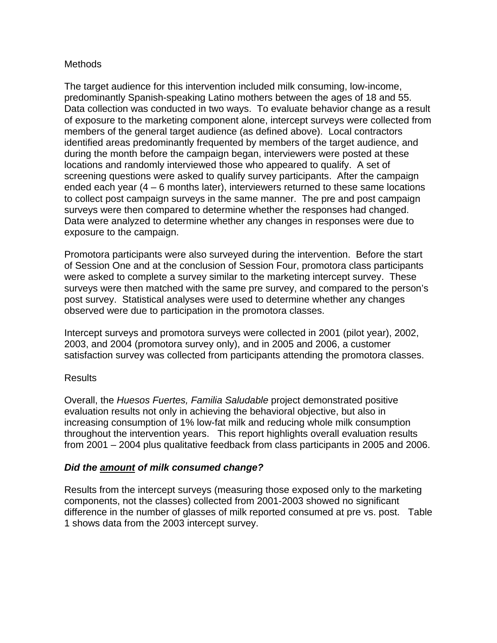## **Methods**

The target audience for this intervention included milk consuming, low-income, predominantly Spanish-speaking Latino mothers between the ages of 18 and 55. Data collection was conducted in two ways. To evaluate behavior change as a result of exposure to the marketing component alone, intercept surveys were collected from members of the general target audience (as defined above). Local contractors identified areas predominantly frequented by members of the target audience, and during the month before the campaign began, interviewers were posted at these locations and randomly interviewed those who appeared to qualify. A set of screening questions were asked to qualify survey participants. After the campaign ended each year (4 – 6 months later), interviewers returned to these same locations to collect post campaign surveys in the same manner. The pre and post campaign surveys were then compared to determine whether the responses had changed. Data were analyzed to determine whether any changes in responses were due to exposure to the campaign.

Promotora participants were also surveyed during the intervention. Before the start of Session One and at the conclusion of Session Four, promotora class participants were asked to complete a survey similar to the marketing intercept survey. These surveys were then matched with the same pre survey, and compared to the person's post survey. Statistical analyses were used to determine whether any changes observed were due to participation in the promotora classes.

Intercept surveys and promotora surveys were collected in 2001 (pilot year), 2002, 2003, and 2004 (promotora survey only), and in 2005 and 2006, a customer satisfaction survey was collected from participants attending the promotora classes.

## Results

Overall, the *Huesos Fuertes, Familia Saludable* project demonstrated positive evaluation results not only in achieving the behavioral objective, but also in increasing consumption of 1% low-fat milk and reducing whole milk consumption throughout the intervention years. This report highlights overall evaluation results from 2001 – 2004 plus qualitative feedback from class participants in 2005 and 2006.

## *Did the amount of milk consumed change?*

Results from the intercept surveys (measuring those exposed only to the marketing components, not the classes) collected from 2001-2003 showed no significant difference in the number of glasses of milk reported consumed at pre vs. post. Table 1 shows data from the 2003 intercept survey.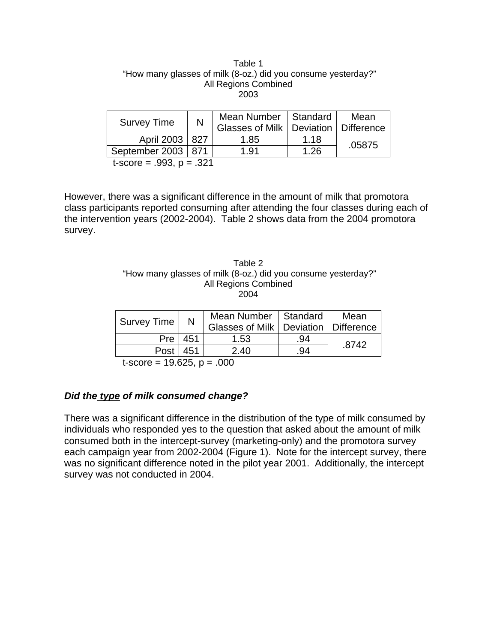| Table 1                                                       |
|---------------------------------------------------------------|
| "How many glasses of milk (8-oz.) did you consume yesterday?" |
| All Regions Combined                                          |
| 2003                                                          |

| <b>Survey Time</b>   | N   | Mean Number   Standard<br>Glasses of Milk   Deviation   Difference |      | Mean   |
|----------------------|-----|--------------------------------------------------------------------|------|--------|
| April 2003   827     |     | 1.85                                                               | 1.18 | .05875 |
| September 2003       | 871 | 1.91                                                               | 1.26 |        |
| $\ddot{\phantom{0}}$ | ດດ⊿ |                                                                    |      |        |

t-score = .993, p = .321

However, there was a significant difference in the amount of milk that promotora class participants reported consuming after attending the four classes during each of the intervention years (2002-2004). Table 2 shows data from the 2004 promotora survey.

| Table 2                                                       |
|---------------------------------------------------------------|
| "How many glasses of milk (8-oz.) did you consume yesterday?" |
| All Regions Combined                                          |
| 2004                                                          |

|            | Mean Number   Standard |     | Mean                                     |
|------------|------------------------|-----|------------------------------------------|
|            |                        |     |                                          |
| Pre   451  | 1.53                   | .94 | .8742                                    |
| Post   451 | 2.40                   | .94 |                                          |
|            | N                      |     | Glasses of Milk   Deviation   Difference |

 $t-score = 19.625, p = .000$ 

## *Did the type of milk consumed change?*

There was a significant difference in the distribution of the type of milk consumed by individuals who responded yes to the question that asked about the amount of milk consumed both in the intercept-survey (marketing-only) and the promotora survey each campaign year from 2002-2004 (Figure 1). Note for the intercept survey, there was no significant difference noted in the pilot year 2001. Additionally, the intercept survey was not conducted in 2004.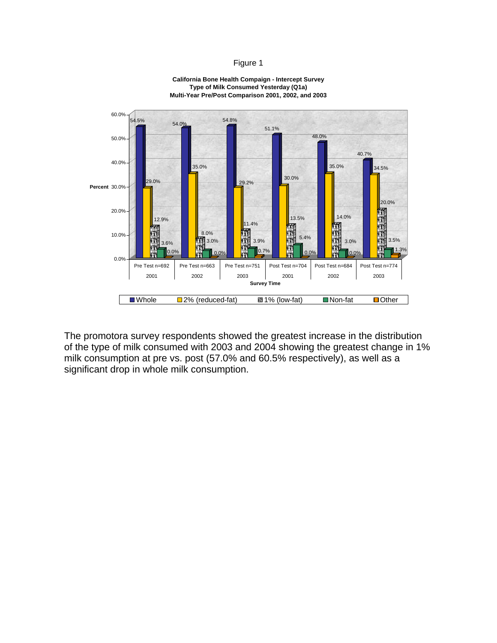#### Figure 1



**California Bone Health Compaign - Intercept Survey Type of Milk Consumed Yesterday (Q1a) Multi-Year Pre/Post Comparison 2001, 2002, and 2003**

The promotora survey respondents showed the greatest increase in the distribution of the type of milk consumed with 2003 and 2004 showing the greatest change in 1% milk consumption at pre vs. post (57.0% and 60.5% respectively), as well as a significant drop in whole milk consumption.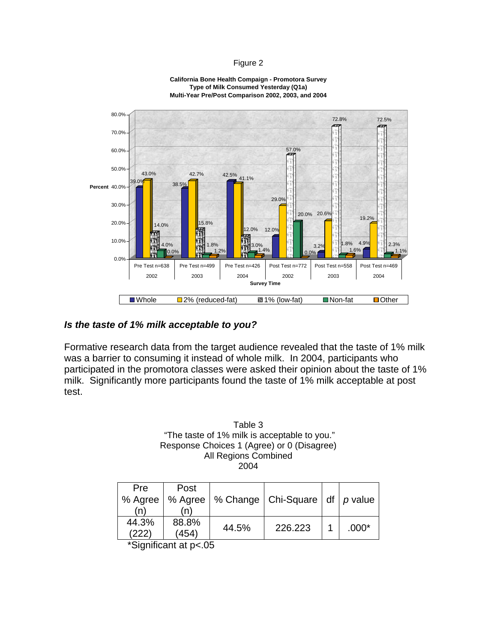### Figure 2



#### **California Bone Health Compaign - Promotora Survey Type of Milk Consumed Yesterday (Q1a) Multi-Year Pre/Post Comparison 2002, 2003, and 2004**

### *Is the taste of 1% milk acceptable to you?*

Formative research data from the target audience revealed that the taste of 1% milk was a barrier to consuming it instead of whole milk. In 2004, participants who participated in the promotora classes were asked their opinion about the taste of 1% milk. Significantly more participants found the taste of 1% milk acceptable at post test.

> Table 3 "The taste of 1% milk is acceptable to you." Response Choices 1 (Agree) or 0 (Disagree) All Regions Combined 2004

| <b>Pre</b> | Post    |       |                                      |         |
|------------|---------|-------|--------------------------------------|---------|
| % Agree    | % Agree |       | % Change   Chi-Square   df   p value |         |
| 'n         |         |       |                                      |         |
| 44.3%      | 88.8%   | 44.5% | 226.223                              |         |
| (222)      | (454)   |       |                                      | $.000*$ |

\*Significant at p<.05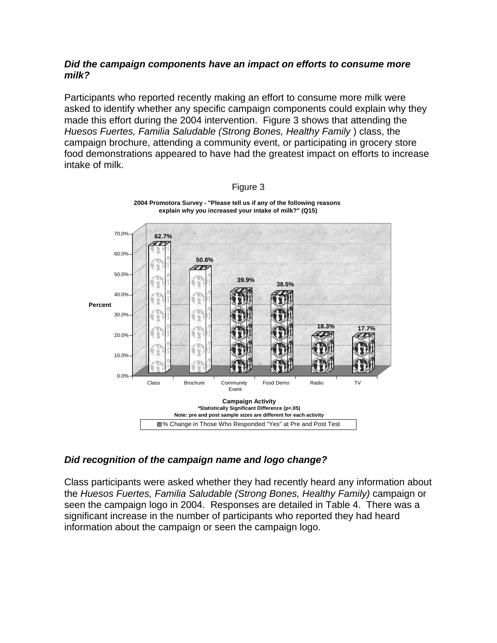## *Did the campaign components have an impact on efforts to consume more milk?*

Participants who reported recently making an effort to consume more milk were asked to identify whether any specific campaign components could explain why they made this effort during the 2004 intervention. Figure 3 shows that attending the *Huesos Fuertes, Familia Saludable (Strong Bones, Healthy Family* ) class, the campaign brochure, attending a community event, or participating in grocery store food demonstrations appeared to have had the greatest impact on efforts to increase intake of milk.



Figure 3

## *Did recognition of the campaign name and logo change?*

Class participants were asked whether they had recently heard any information about the *Huesos Fuertes, Familia Saludable (Strong Bones, Healthy Family)* campaign or seen the campaign logo in 2004. Responses are detailed in Table 4. There was a significant increase in the number of participants who reported they had heard information about the campaign or seen the campaign logo.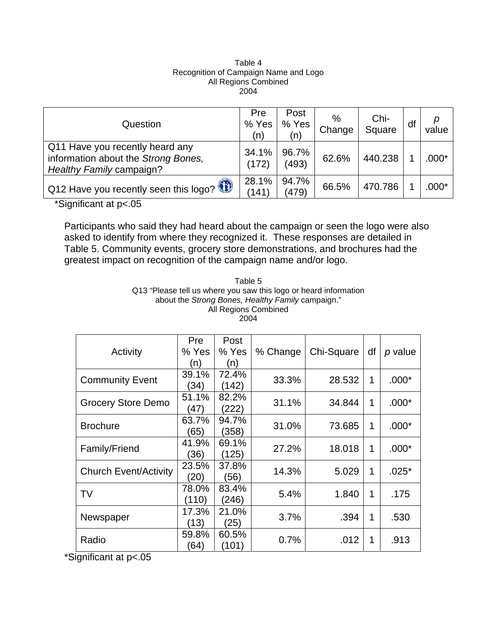### Table 4 Recognition of Campaign Name and Logo All Regions Combined 2004

| Question                                                                                           | Pre<br>% Yes<br>(n) | Post<br>% Yes<br>(n) | %<br>Change | Chi-<br>Square | df | value |
|----------------------------------------------------------------------------------------------------|---------------------|----------------------|-------------|----------------|----|-------|
| Q11 Have you recently heard any<br>information about the Strong Bones,<br>Healthy Family campaign? | 34.1%<br>(172)      | 96.7%<br>(493)       | 62.6%       | 440.238        |    | .000* |
| $\frac{1}{2}$ Q12 Have you recently seen this logo?                                                | 28.1%<br>(141)      | 94.7%<br>(479)       | 66.5%       | 470.786        |    | .000* |

\*Significant at p<.05

Participants who said they had heard about the campaign or seen the logo were also asked to identify from where they recognized it. These responses are detailed in Table 5. Community events, grocery store demonstrations, and brochures had the greatest impact on recognition of the campaign name and/or logo.

> Table 5 Q13 "Please tell us where you saw this logo or heard information about the *Strong Bones, Healthy Family* campaign." All Regions Combined 2004

| Activity                     | <b>Pre</b><br>% Yes<br>(n) | Post<br>% Yes<br>(n) | % Change | Chi-Square | df | p value |
|------------------------------|----------------------------|----------------------|----------|------------|----|---------|
| <b>Community Event</b>       | 39.1%<br>34)               | 72.4%<br>(142)       | 33.3%    | 28.532     | 1  | $.000*$ |
| <b>Grocery Store Demo</b>    | 51.1%<br>47)               | 82.2%<br>(222)       | 31.1%    | 34.844     | 1  | $.000*$ |
| <b>Brochure</b>              | 63.7%<br>(65)              | 94.7%<br>(358)       | 31.0%    | 73.685     | 1  | $.000*$ |
| Family/Friend                | 41.9%<br>(36)              | 69.1%<br>(125)       | 27.2%    | 18.018     | 1  | $.000*$ |
| <b>Church Event/Activity</b> | 23.5%<br>(20)              | 37.8%<br>(56)        | 14.3%    | 5.029      | 1  | $.025*$ |
| TV                           | 78.0%<br>(110)             | 83.4%<br>(246)       | 5.4%     | 1.840      | 1  | .175    |
| Newspaper                    | 17.3%<br>(13)              | 21.0%<br>(25)        | 3.7%     | .394       | 1  | .530    |
| Radio                        | 59.8%<br>64)               | 60.5%<br>(101)       | 0.7%     | .012       | 1  | .913    |

\*Significant at p<.05